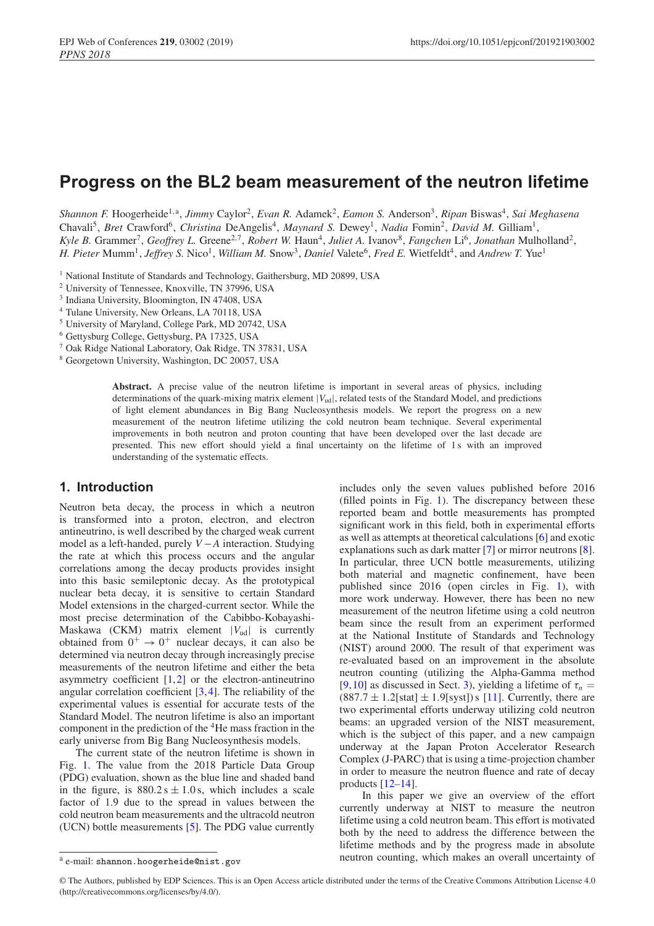# **Progress on the BL2 beam measurement of the neutron lifetime**

*Shannon F.* Hoogerheide<sup>1, a</sup>, *Jimmy Caylor<sup>2</sup>, Evan R. Adamek<sup>2</sup>, Eamon S. Anderson<sup>3</sup>, <i>Ripan* Biswas<sup>4</sup>, *Sai Meghasena* Chavali<sup>5</sup>, *Bret* Crawford<sup>6</sup>, *Christina* DeAngelis<sup>4</sup>, *Maynard S. Dewey<sup>1</sup>, <i>Nadia* Fomin<sup>2</sup>, *David M.* Gilliam<sup>1</sup>, *Kyle B. Grammer<sup>7</sup>, <i>Geoffrey L. Greene<sup>2,7</sup>, Robert W. Haun<sup>4</sup>, <i>Juliet A. Ivanov<sup>8</sup>, <i>Fangchen* Li<sup>6</sup>, *Jonathan* Mulholland<sup>2</sup>, *H. Pieter* Mumm<sup>1</sup>, *Jeffrey S. Nico<sup>1</sup>, <i>William M. Snow<sup>3</sup>, Daniel Valete*<sup>6</sup>, *Fred E. Wietfeldt*<sup>4</sup>, and *Andrew T. Yue*<sup>1</sup>

<sup>1</sup> National Institute of Standards and Technology, Gaithersburg, MD 20899, USA

<sup>2</sup> University of Tennessee, Knoxville, TN 37996, USA

<sup>3</sup> Indiana University, Bloomington, IN 47408, USA

<sup>4</sup> Tulane University, New Orleans, LA 70118, USA

<sup>5</sup> University of Maryland, College Park, MD 20742, USA

<sup>6</sup> Gettysburg College, Gettysburg, PA 17325, USA

<sup>7</sup> Oak Ridge National Laboratory, Oak Ridge, TN 37831, USA

<sup>8</sup> Georgetown University, Washington, DC 20057, USA

**Abstract.** A precise value of the neutron lifetime is important in several areas of physics, including determinations of the quark-mixing matrix element  $|V_{ud}|$ , related tests of the Standard Model, and predictions of light element abundances in Big Bang Nucleosynthesis models. We report the progress on a new measurement of the neutron lifetime utilizing the cold neutron beam technique. Several experimental improvements in both neutron and proton counting that have been developed over the last decade are presented. This new effort should yield a final uncertainty on the lifetime of 1 s with an improved understanding of the systematic effects.

## **1. Introduction**

Neutron beta decay, the process in which a neutron is transformed into a proton, electron, and electron antineutrino, is well described by the charged weak current model as a left-handed, purely *V*−*A* interaction. Studying the rate at which this process occurs and the angular correlations among the decay products provides insight into this basic semileptonic decay. As the prototypical nuclear beta decay, it is sensitive to certain Standard Model extensions in the charged-current sector. While the most precise determination of the Cabibbo-Kobayashi-Maskawa (CKM) matrix element  $|V_{ud}|$  is currently obtained from  $0^+ \rightarrow 0^+$  nuclear decays, it can also be determined via neutron decay through increasingly precise measurements of the neutron lifetime and either the beta asymmetry coefficient  $[1,2]$  $[1,2]$  $[1,2]$  or the electron-antineutrino angular correlation coefficient [\[3](#page-5-2)[,4](#page-5-3)]. The reliability of the experimental values is essential for accurate tests of the Standard Model. The neutron lifetime is also an important component in the prediction of the 4He mass fraction in the early universe from Big Bang Nucleosynthesis models.

The current state of the neutron lifetime is shown in Fig. [1.](#page-1-0) The value from the 2018 Particle Data Group (PDG) evaluation, shown as the blue line and shaded band in the figure, is  $880.2 s \pm 1.0 s$ , which includes a scale factor of 1.9 due to the spread in values between the cold neutron beam measurements and the ultracold neutron (UCN) bottle measurements [\[5](#page-5-4)]. The PDG value currently includes only the seven values published before 2016 (filled points in Fig. [1\)](#page-1-0). The discrepancy between these reported beam and bottle measurements has prompted significant work in this field, both in experimental efforts as well as attempts at theoretical calculations [\[6](#page-5-5)] and exotic explanations such as dark matter [\[7\]](#page-5-6) or mirror neutrons [\[8](#page-5-7)]. In particular, three UCN bottle measurements, utilizing both material and magnetic confinement, have been published since 2016 (open circles in Fig. [1\)](#page-1-0), with more work underway. However, there has been no new measurement of the neutron lifetime using a cold neutron beam since the result from an experiment performed at the National Institute of Standards and Technology (NIST) around 2000. The result of that experiment was re-evaluated based on an improvement in the absolute neutron counting (utilizing the Alpha-Gamma method [\[9](#page-5-8),[10\]](#page-5-9) as discussed in Sect. [3\)](#page-1-1), yielding a lifetime of  $\tau_n =$  $(887.7 \pm 1.2$ [stat]  $\pm 1.9$ [syst]) s [\[11\]](#page-5-10). Currently, there are two experimental efforts underway utilizing cold neutron beams: an upgraded version of the NIST measurement, which is the subject of this paper, and a new campaign underway at the Japan Proton Accelerator Research Complex (J-PARC) that is using a time-projection chamber in order to measure the neutron fluence and rate of decay products  $[12-14]$  $[12-14]$ .

In this paper we give an overview of the effort currently underway at NIST to measure the neutron lifetime using a cold neutron beam. This effort is motivated both by the need to address the difference between the lifetime methods and by the progress made in absolute neutron counting, which makes an overall uncertainty of

<sup>a</sup> e-mail: shannon.hoogerheide@nist.gov

<sup>©</sup> The Authors, published by EDP Sciences. This is an Open Access article distributed under the terms of the Creative Commons Attribution License 4.0 (http://creativecommons.org/licenses/by/4.0/).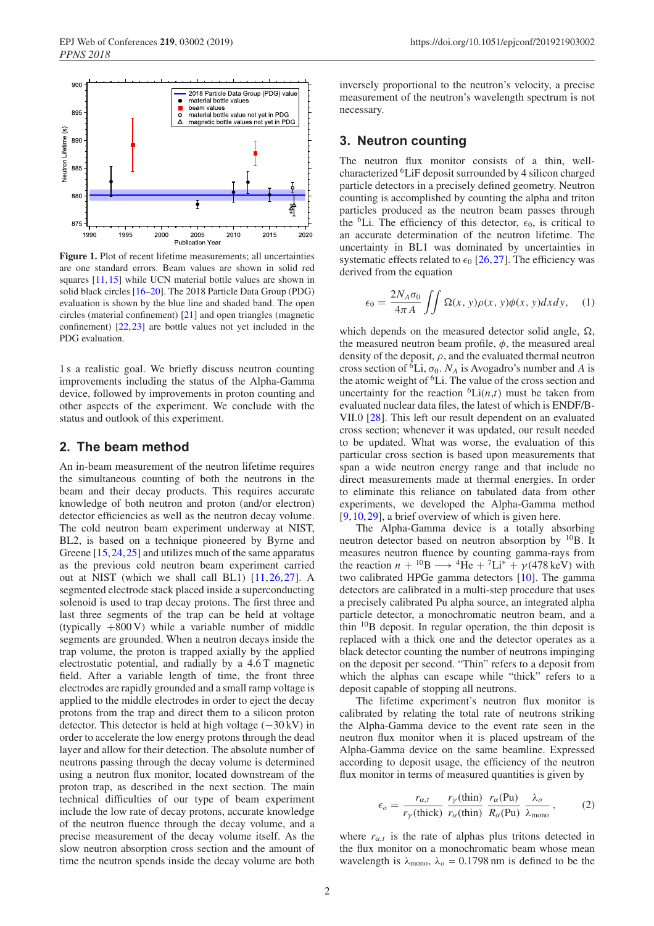<span id="page-1-0"></span>

Figure 1. Plot of recent lifetime measurements; all uncertainties are one standard errors. Beam values are shown in solid red squares [\[11,](#page-5-10)[15\]](#page-5-13) while UCN material bottle values are shown in solid black circles [\[16](#page-5-14)[–20\]](#page-5-15). The 2018 Particle Data Group (PDG) evaluation is shown by the blue line and shaded band. The open circles (material confinement) [\[21](#page-5-16)] and open triangles (magnetic confinement) [\[22](#page-5-17)[,23](#page-5-18)] are bottle values not yet included in the PDG evaluation.

1 s a realistic goal. We briefly discuss neutron counting improvements including the status of the Alpha-Gamma device, followed by improvements in proton counting and other aspects of the experiment. We conclude with the status and outlook of this experiment.

### **2. The beam method**

An in-beam measurement of the neutron lifetime requires the simultaneous counting of both the neutrons in the beam and their decay products. This requires accurate knowledge of both neutron and proton (and/or electron) detector efficiencies as well as the neutron decay volume. The cold neutron beam experiment underway at NIST, BL2, is based on a technique pioneered by Byrne and Greene [\[15](#page-5-13),[24,](#page-5-19)[25\]](#page-5-20) and utilizes much of the same apparatus as the previous cold neutron beam experiment carried out at NIST (which we shall call BL1) [\[11,](#page-5-10)[26](#page-5-21),[27](#page-5-22)]. A segmented electrode stack placed inside a superconducting solenoid is used to trap decay protons. The first three and last three segments of the trap can be held at voltage (typically  $+800 \text{ V}$ ) while a variable number of middle segments are grounded. When a neutron decays inside the trap volume, the proton is trapped axially by the applied electrostatic potential, and radially by a 4.6 T magnetic field. After a variable length of time, the front three electrodes are rapidly grounded and a small ramp voltage is applied to the middle electrodes in order to eject the decay protons from the trap and direct them to a silicon proton detector. This detector is held at high voltage  $(-30 \text{ kV})$  in order to accelerate the low energy protons through the dead layer and allow for their detection. The absolute number of neutrons passing through the decay volume is determined using a neutron flux monitor, located downstream of the proton trap, as described in the next section. The main technical difficulties of our type of beam experiment include the low rate of decay protons, accurate knowledge of the neutron fluence through the decay volume, and a precise measurement of the decay volume itself. As the slow neutron absorption cross section and the amount of time the neutron spends inside the decay volume are both inversely proportional to the neutron's velocity, a precise measurement of the neutron's wavelength spectrum is not necessary.

### <span id="page-1-1"></span>**3. Neutron counting**

The neutron flux monitor consists of a thin, wellcharacterized 6LiF deposit surrounded by 4 silicon charged particle detectors in a precisely defined geometry. Neutron counting is accomplished by counting the alpha and triton particles produced as the neutron beam passes through the <sup>6</sup>Li. The efficiency of this detector,  $\epsilon_0$ , is critical to an accurate determination of the neutron lifetime. The uncertainty in BL1 was dominated by uncertainties in systematic effects related to  $\epsilon_0$  [\[26](#page-5-21),[27\]](#page-5-22). The efficiency was derived from the equation

$$
\epsilon_0 = \frac{2N_A \sigma_0}{4\pi A} \iint \Omega(x, y)\rho(x, y)\phi(x, y)dxdy, \quad (1)
$$

which depends on the measured detector solid angle,  $\Omega$ , the measured neutron beam profile,  $\phi$ , the measured areal density of the deposit,  $\rho$ , and the evaluated thermal neutron cross section of <sup> $\delta$ </sup>Li,  $\sigma_0$ . *N<sub>A</sub>* is Avogadro's number and *A* is the atomic weight of <sup>6</sup>Li. The value of the cross section and uncertainty for the reaction  ${}^6\text{Li}(n,t)$  must be taken from evaluated nuclear data files, the latest of which is ENDF/B-VII.0 [\[28\]](#page-5-23). This left our result dependent on an evaluated cross section; whenever it was updated, our result needed to be updated. What was worse, the evaluation of this particular cross section is based upon measurements that span a wide neutron energy range and that include no direct measurements made at thermal energies. In order to eliminate this reliance on tabulated data from other experiments, we developed the Alpha-Gamma method [\[9](#page-5-8),[10,](#page-5-9)[29](#page-5-24)], a brief overview of which is given here.

The Alpha-Gamma device is a totally absorbing neutron detector based on neutron absorption by  $^{10}B$ . It measures neutron fluence by counting gamma-rays from the reaction  $n + {}^{10}B \longrightarrow {}^{4}He + {}^{7}Li^{*} + \gamma(478 \text{ keV})$  with two calibrated HPGe gamma detectors [\[10\]](#page-5-9). The gamma detectors are calibrated in a multi-step procedure that uses a precisely calibrated Pu alpha source, an integrated alpha particle detector, a monochromatic neutron beam, and a thin  $^{10}$ B deposit. In regular operation, the thin deposit is replaced with a thick one and the detector operates as a black detector counting the number of neutrons impinging on the deposit per second. "Thin" refers to a deposit from which the alphas can escape while "thick" refers to a deposit capable of stopping all neutrons.

The lifetime experiment's neutron flux monitor is calibrated by relating the total rate of neutrons striking the Alpha-Gamma device to the event rate seen in the neutron flux monitor when it is placed upstream of the Alpha-Gamma device on the same beamline. Expressed according to deposit usage, the efficiency of the neutron flux monitor in terms of measured quantities is given by

$$
\epsilon_o = \frac{r_{\alpha,t}}{r_\gamma(\text{thick})} \frac{r_\gamma(\text{thin})}{r_\alpha(\text{thin})} \frac{r_\alpha(\text{Pu})}{R_\alpha(\text{Pu})} \frac{\lambda_o}{\lambda_{\text{mono}}},\tag{2}
$$

where  $r_{\alpha t}$  is the rate of alphas plus tritons detected in the flux monitor on a monochromatic beam whose mean wavelength is  $\lambda_{\text{mono}}$ ,  $\lambda_o = 0.1798$  nm is defined to be the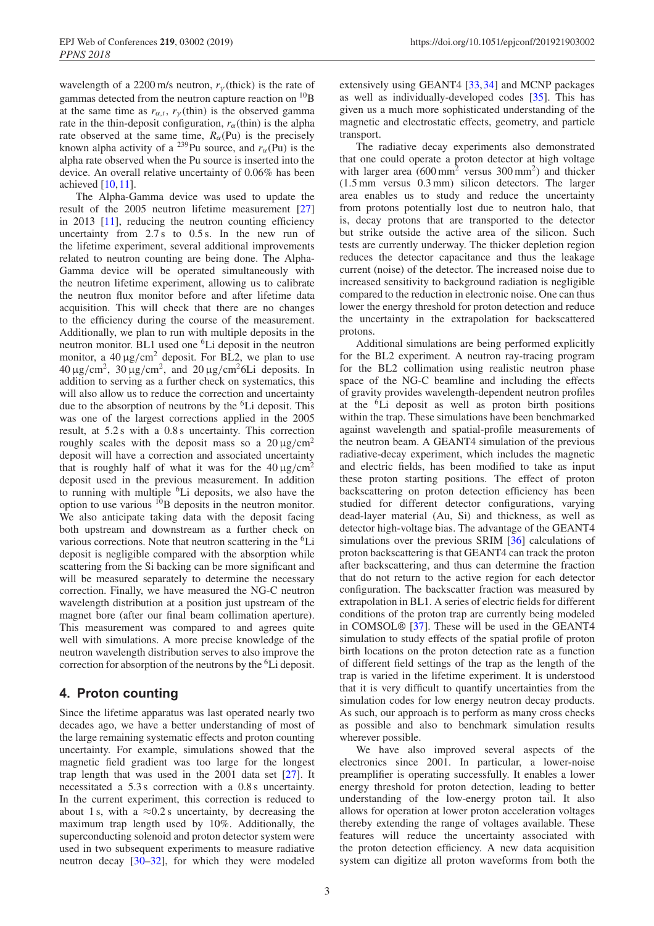wavelength of a 2200 m/s neutron,  $r<sub>\gamma</sub>$  (thick) is the rate of gammas detected from the neutron capture reaction on  ${}^{10}B$ at the same time as  $r_{\alpha,t}$ ,  $r_{\gamma}$  (thin) is the observed gamma rate in the thin-deposit configuration,  $r_\alpha$ (thin) is the alpha rate observed at the same time,  $R_\alpha$ (Pu) is the precisely known alpha activity of a <sup>239</sup>Pu source, and  $r_\alpha$ (Pu) is the alpha rate observed when the Pu source is inserted into the device. An overall relative uncertainty of 0.06% has been achieved  $[10, 11]$  $[10, 11]$ .

The Alpha-Gamma device was used to update the result of the 2005 neutron lifetime measurement [\[27\]](#page-5-22) in 2013 [\[11\]](#page-5-10), reducing the neutron counting efficiency uncertainty from 2.7 s to 0.5 s. In the new run of the lifetime experiment, several additional improvements related to neutron counting are being done. The Alpha-Gamma device will be operated simultaneously with the neutron lifetime experiment, allowing us to calibrate the neutron flux monitor before and after lifetime data acquisition. This will check that there are no changes to the efficiency during the course of the measurement. Additionally, we plan to run with multiple deposits in the neutron monitor. BL1 used one <sup>6</sup>Li deposit in the neutron monitor, a  $40 \mu g/cm^2$  deposit. For BL2, we plan to use  $40 \mu$ g/cm<sup>2</sup>,  $30 \mu$ g/cm<sup>2</sup>, and  $20 \mu$ g/cm<sup>2</sup>6Li deposits. In addition to serving as a further check on systematics, this will also allow us to reduce the correction and uncertainty due to the absorption of neutrons by the 6Li deposit. This was one of the largest corrections applied in the 2005 result, at 5.2 s with a 0.8 s uncertainty. This correction roughly scales with the deposit mass so a  $20 \mu g/cm^2$ deposit will have a correction and associated uncertainty that is roughly half of what it was for the  $40 \mu g/cm^2$ deposit used in the previous measurement. In addition to running with multiple <sup>6</sup>Li deposits, we also have the option to use various  $^{10}$ B deposits in the neutron monitor. We also anticipate taking data with the deposit facing both upstream and downstream as a further check on various corrections. Note that neutron scattering in the <sup>6</sup>Li deposit is negligible compared with the absorption while scattering from the Si backing can be more significant and will be measured separately to determine the necessary correction. Finally, we have measured the NG-C neutron wavelength distribution at a position just upstream of the magnet bore (after our final beam collimation aperture). This measurement was compared to and agrees quite well with simulations. A more precise knowledge of the neutron wavelength distribution serves to also improve the correction for absorption of the neutrons by the <sup>6</sup>Li deposit.

# **4. Proton counting**

Since the lifetime apparatus was last operated nearly two decades ago, we have a better understanding of most of the large remaining systematic effects and proton counting uncertainty. For example, simulations showed that the magnetic field gradient was too large for the longest trap length that was used in the  $2001$  data set  $[27]$ . It necessitated a 5.3 s correction with a 0.8 s uncertainty. In the current experiment, this correction is reduced to about 1 s, with a  $\approx 0.2$  s uncertainty, by decreasing the maximum trap length used by 10%. Additionally, the superconducting solenoid and proton detector system were used in two subsequent experiments to measure radiative neutron decay [\[30](#page-6-0)[–32\]](#page-6-1), for which they were modeled extensively using GEANT4 [\[33](#page-6-2),[34\]](#page-6-3) and MCNP packages as well as individually-developed codes [\[35\]](#page-6-4). This has given us a much more sophisticated understanding of the magnetic and electrostatic effects, geometry, and particle transport.

The radiative decay experiments also demonstrated that one could operate a proton detector at high voltage with larger area  $(600 \text{ mm}^2$  versus  $300 \text{ mm}^2$ ) and thicker (1.5 mm versus 0.3 mm) silicon detectors. The larger area enables us to study and reduce the uncertainty from protons potentially lost due to neutron halo, that is, decay protons that are transported to the detector but strike outside the active area of the silicon. Such tests are currently underway. The thicker depletion region reduces the detector capacitance and thus the leakage current (noise) of the detector. The increased noise due to increased sensitivity to background radiation is negligible compared to the reduction in electronic noise. One can thus lower the energy threshold for proton detection and reduce the uncertainty in the extrapolation for backscattered protons.

Additional simulations are being performed explicitly for the BL2 experiment. A neutron ray-tracing program for the BL2 collimation using realistic neutron phase space of the NG-C beamline and including the effects of gravity provides wavelength-dependent neutron profiles at the 6Li deposit as well as proton birth positions within the trap. These simulations have been benchmarked against wavelength and spatial-profile measurements of the neutron beam. A GEANT4 simulation of the previous radiative-decay experiment, which includes the magnetic and electric fields, has been modified to take as input these proton starting positions. The effect of proton backscattering on proton detection efficiency has been studied for different detector configurations, varying dead-layer material (Au, Si) and thickness, as well as detector high-voltage bias. The advantage of the GEANT4 simulations over the previous SRIM [\[36\]](#page-6-5) calculations of proton backscattering is that GEANT4 can track the proton after backscattering, and thus can determine the fraction that do not return to the active region for each detector configuration. The backscatter fraction was measured by extrapolation in BL1. A series of electric fields for different conditions of the proton trap are currently being modeled in COMSOL® [\[37\]](#page-6-6). These will be used in the GEANT4 simulation to study effects of the spatial profile of proton birth locations on the proton detection rate as a function of different field settings of the trap as the length of the trap is varied in the lifetime experiment. It is understood that it is very difficult to quantify uncertainties from the simulation codes for low energy neutron decay products. As such, our approach is to perform as many cross checks as possible and also to benchmark simulation results wherever possible.

We have also improved several aspects of the electronics since 2001. In particular, a lower-noise preamplifier is operating successfully. It enables a lower energy threshold for proton detection, leading to better understanding of the low-energy proton tail. It also allows for operation at lower proton acceleration voltages thereby extending the range of voltages available. These features will reduce the uncertainty associated with the proton detection efficiency. A new data acquisition system can digitize all proton waveforms from both the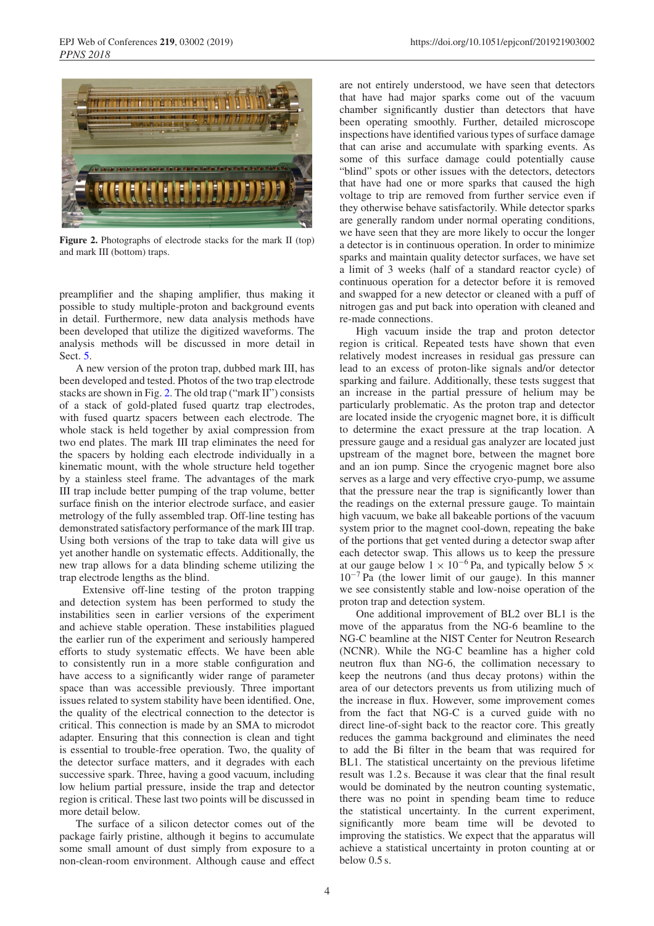<span id="page-3-0"></span>

**Figure 2.** Photographs of electrode stacks for the mark II (top) and mark III (bottom) traps.

preamplifier and the shaping amplifier, thus making it possible to study multiple-proton and background events in detail. Furthermore, new data analysis methods have been developed that utilize the digitized waveforms. The analysis methods will be discussed in more detail in Sect. [5.](#page-4-0)

A new version of the proton trap, dubbed mark III, has been developed and tested. Photos of the two trap electrode stacks are shown in Fig. [2.](#page-3-0) The old trap ("mark II") consists of a stack of gold-plated fused quartz trap electrodes, with fused quartz spacers between each electrode. The whole stack is held together by axial compression from two end plates. The mark III trap eliminates the need for the spacers by holding each electrode individually in a kinematic mount, with the whole structure held together by a stainless steel frame. The advantages of the mark III trap include better pumping of the trap volume, better surface finish on the interior electrode surface, and easier metrology of the fully assembled trap. Off-line testing has demonstrated satisfactory performance of the mark III trap. Using both versions of the trap to take data will give us yet another handle on systematic effects. Additionally, the new trap allows for a data blinding scheme utilizing the trap electrode lengths as the blind.

Extensive off-line testing of the proton trapping and detection system has been performed to study the instabilities seen in earlier versions of the experiment and achieve stable operation. These instabilities plagued the earlier run of the experiment and seriously hampered efforts to study systematic effects. We have been able to consistently run in a more stable configuration and have access to a significantly wider range of parameter space than was accessible previously. Three important issues related to system stability have been identified. One, the quality of the electrical connection to the detector is critical. This connection is made by an SMA to microdot adapter. Ensuring that this connection is clean and tight is essential to trouble-free operation. Two, the quality of the detector surface matters, and it degrades with each successive spark. Three, having a good vacuum, including low helium partial pressure, inside the trap and detector region is critical. These last two points will be discussed in more detail below.

The surface of a silicon detector comes out of the package fairly pristine, although it begins to accumulate some small amount of dust simply from exposure to a non-clean-room environment. Although cause and effect are not entirely understood, we have seen that detectors that have had major sparks come out of the vacuum chamber significantly dustier than detectors that have been operating smoothly. Further, detailed microscope inspections have identified various types of surface damage that can arise and accumulate with sparking events. As some of this surface damage could potentially cause "blind" spots or other issues with the detectors, detectors that have had one or more sparks that caused the high voltage to trip are removed from further service even if they otherwise behave satisfactorily. While detector sparks are generally random under normal operating conditions, we have seen that they are more likely to occur the longer a detector is in continuous operation. In order to minimize sparks and maintain quality detector surfaces, we have set a limit of 3 weeks (half of a standard reactor cycle) of continuous operation for a detector before it is removed and swapped for a new detector or cleaned with a puff of nitrogen gas and put back into operation with cleaned and re-made connections.

High vacuum inside the trap and proton detector region is critical. Repeated tests have shown that even relatively modest increases in residual gas pressure can lead to an excess of proton-like signals and/or detector sparking and failure. Additionally, these tests suggest that an increase in the partial pressure of helium may be particularly problematic. As the proton trap and detector are located inside the cryogenic magnet bore, it is difficult to determine the exact pressure at the trap location. A pressure gauge and a residual gas analyzer are located just upstream of the magnet bore, between the magnet bore and an ion pump. Since the cryogenic magnet bore also serves as a large and very effective cryo-pump, we assume that the pressure near the trap is significantly lower than the readings on the external pressure gauge. To maintain high vacuum, we bake all bakeable portions of the vacuum system prior to the magnet cool-down, repeating the bake of the portions that get vented during a detector swap after each detector swap. This allows us to keep the pressure at our gauge below  $1 \times 10^{-6}$  Pa, and typically below 5  $\times$ 10−<sup>7</sup> Pa (the lower limit of our gauge). In this manner we see consistently stable and low-noise operation of the proton trap and detection system.

One additional improvement of BL2 over BL1 is the move of the apparatus from the NG-6 beamline to the NG-C beamline at the NIST Center for Neutron Research (NCNR). While the NG-C beamline has a higher cold neutron flux than NG-6, the collimation necessary to keep the neutrons (and thus decay protons) within the area of our detectors prevents us from utilizing much of the increase in flux. However, some improvement comes from the fact that NG-C is a curved guide with no direct line-of-sight back to the reactor core. This greatly reduces the gamma background and eliminates the need to add the Bi filter in the beam that was required for BL1. The statistical uncertainty on the previous lifetime result was 1.2 s. Because it was clear that the final result would be dominated by the neutron counting systematic, there was no point in spending beam time to reduce the statistical uncertainty. In the current experiment, significantly more beam time will be devoted to improving the statistics. We expect that the apparatus will achieve a statistical uncertainty in proton counting at or below 0.5 s.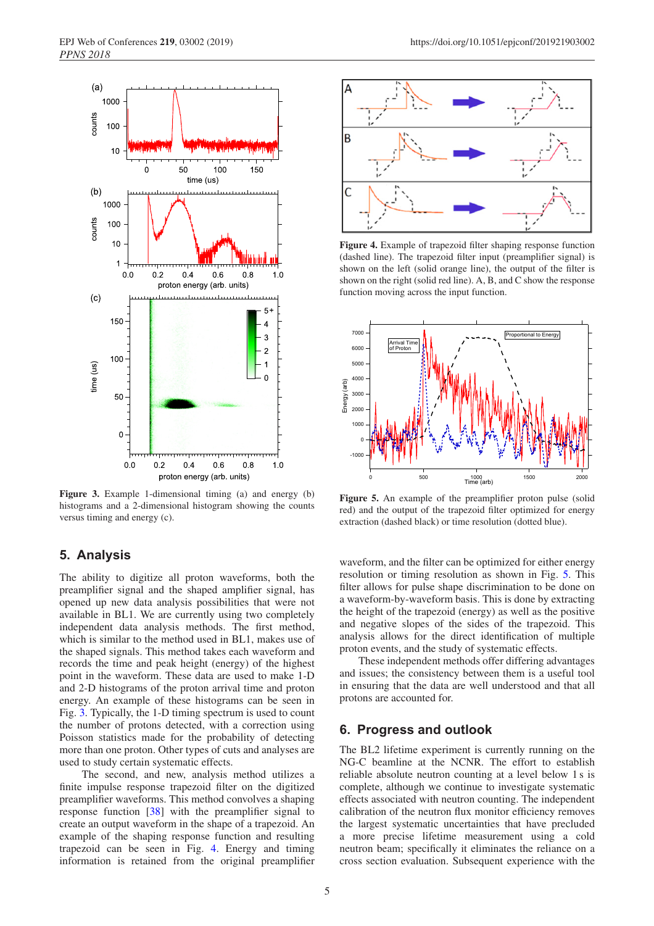<span id="page-4-1"></span>

**Figure 3.** Example 1-dimensional timing (a) and energy (b) histograms and a 2-dimensional histogram showing the counts versus timing and energy (c).

## <span id="page-4-0"></span>**5. Analysis**

The ability to digitize all proton waveforms, both the preamplifier signal and the shaped amplifier signal, has opened up new data analysis possibilities that were not available in BL1. We are currently using two completely independent data analysis methods. The first method, which is similar to the method used in BL1, makes use of the shaped signals. This method takes each waveform and records the time and peak height (energy) of the highest point in the waveform. These data are used to make 1-D and 2-D histograms of the proton arrival time and proton energy. An example of these histograms can be seen in Fig. [3.](#page-4-1) Typically, the 1-D timing spectrum is used to count the number of protons detected, with a correction using Poisson statistics made for the probability of detecting more than one proton. Other types of cuts and analyses are used to study certain systematic effects.

The second, and new, analysis method utilizes a finite impulse response trapezoid filter on the digitized preamplifier waveforms. This method convolves a shaping response function [\[38](#page-6-7)] with the preamplifier signal to create an output waveform in the shape of a trapezoid. An example of the shaping response function and resulting trapezoid can be seen in Fig. [4.](#page-4-2) Energy and timing information is retained from the original preamplifier

<span id="page-4-2"></span>

**Figure 4.** Example of trapezoid filter shaping response function (dashed line). The trapezoid filter input (preamplifier signal) is shown on the left (solid orange line), the output of the filter is shown on the right (solid red line). A, B, and C show the response function moving across the input function.

<span id="page-4-3"></span>

Figure 5. An example of the preamplifier proton pulse (solid red) and the output of the trapezoid filter optimized for energy extraction (dashed black) or time resolution (dotted blue).

waveform, and the filter can be optimized for either energy resolution or timing resolution as shown in Fig. [5.](#page-4-3) This filter allows for pulse shape discrimination to be done on a waveform-by-waveform basis. This is done by extracting the height of the trapezoid (energy) as well as the positive and negative slopes of the sides of the trapezoid. This analysis allows for the direct identification of multiple proton events, and the study of systematic effects.

These independent methods offer differing advantages and issues; the consistency between them is a useful tool in ensuring that the data are well understood and that all protons are accounted for.

### **6. Progress and outlook**

The BL2 lifetime experiment is currently running on the NG-C beamline at the NCNR. The effort to establish reliable absolute neutron counting at a level below 1 s is complete, although we continue to investigate systematic effects associated with neutron counting. The independent calibration of the neutron flux monitor efficiency removes the largest systematic uncertainties that have precluded a more precise lifetime measurement using a cold neutron beam; specifically it eliminates the reliance on a cross section evaluation. Subsequent experience with the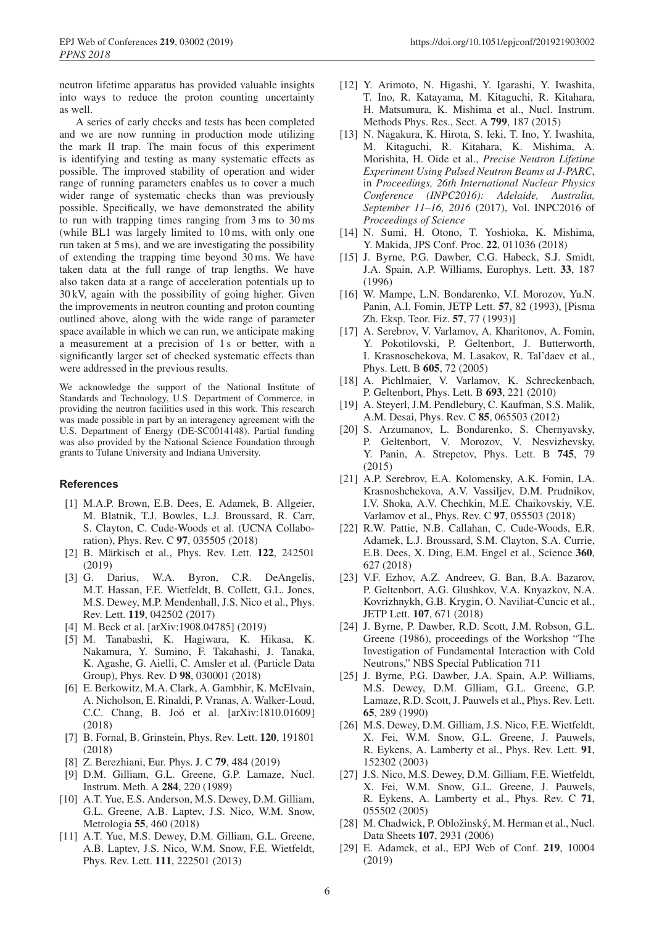neutron lifetime apparatus has provided valuable insights into ways to reduce the proton counting uncertainty as well.

A series of early checks and tests has been completed and we are now running in production mode utilizing the mark II trap. The main focus of this experiment is identifying and testing as many systematic effects as possible. The improved stability of operation and wider range of running parameters enables us to cover a much wider range of systematic checks than was previously possible. Specifically, we have demonstrated the ability to run with trapping times ranging from 3 ms to 30 ms (while BL1 was largely limited to 10 ms, with only one run taken at 5 ms), and we are investigating the possibility of extending the trapping time beyond 30 ms. We have taken data at the full range of trap lengths. We have also taken data at a range of acceleration potentials up to 30 kV, again with the possibility of going higher. Given the improvements in neutron counting and proton counting outlined above, along with the wide range of parameter space available in which we can run, we anticipate making a measurement at a precision of 1 s or better, with a significantly larger set of checked systematic effects than were addressed in the previous results.

We acknowledge the support of the National Institute of Standards and Technology, U.S. Department of Commerce, in providing the neutron facilities used in this work. This research was made possible in part by an interagency agreement with the U.S. Department of Energy (DE-SC0014148). Partial funding was also provided by the National Science Foundation through grants to Tulane University and Indiana University.

#### <span id="page-5-0"></span>**References**

- [1] M.A.P. Brown, E.B. Dees, E. Adamek, B. Allgeier, M. Blatnik, T.J. Bowles, L.J. Broussard, R. Carr, S. Clayton, C. Cude-Woods et al. (UCNA Collaboration), Phys. Rev. C **97**, 035505 (2018)
- <span id="page-5-1"></span>[2] B. Märkisch et al., Phys. Rev. Lett. **122**, 242501 (2019)
- <span id="page-5-2"></span>[3] G. Darius, W.A. Byron, C.R. DeAngelis, M.T. Hassan, F.E. Wietfeldt, B. Collett, G.L. Jones, M.S. Dewey, M.P. Mendenhall, J.S. Nico et al., Phys. Rev. Lett. **119**, 042502 (2017)
- <span id="page-5-3"></span>[4] M. Beck et al. [arXiv:1908.04785] (2019)
- <span id="page-5-4"></span>[5] M. Tanabashi, K. Hagiwara, K. Hikasa, K. Nakamura, Y. Sumino, F. Takahashi, J. Tanaka, K. Agashe, G. Aielli, C. Amsler et al. (Particle Data Group), Phys. Rev. D **98**, 030001 (2018)
- <span id="page-5-5"></span>[6] E. Berkowitz, M.A. Clark, A. Gambhir, K. McElvain, A. Nicholson, E. Rinaldi, P. Vranas, A. Walker-Loud, C.C. Chang, B. Joo et al. [arXiv:1810.01609] ´ (2018)
- <span id="page-5-6"></span>[7] B. Fornal, B. Grinstein, Phys. Rev. Lett. **120**, 191801 (2018)
- [8] Z. Berezhiani, Eur. Phys. J. C **79**, 484 (2019)
- <span id="page-5-8"></span><span id="page-5-7"></span>[9] D.M. Gilliam, G.L. Greene, G.P. Lamaze, Nucl. Instrum. Meth. A **284**, 220 (1989)
- <span id="page-5-9"></span>[10] A.T. Yue, E.S. Anderson, M.S. Dewey, D.M. Gilliam, G.L. Greene, A.B. Laptev, J.S. Nico, W.M. Snow, Metrologia **55**, 460 (2018)
- <span id="page-5-10"></span>[11] A.T. Yue, M.S. Dewey, D.M. Gilliam, G.L. Greene, A.B. Laptev, J.S. Nico, W.M. Snow, F.E. Wietfeldt, Phys. Rev. Lett. **111**, 222501 (2013)
- <span id="page-5-11"></span>[12] Y. Arimoto, N. Higashi, Y. Igarashi, Y. Iwashita, T. Ino, R. Katayama, M. Kitaguchi, R. Kitahara, H. Matsumura, K. Mishima et al., Nucl. Instrum. Methods Phys. Res., Sect. A **799**, 187 (2015)
- [13] N. Nagakura, K. Hirota, S. Ieki, T. Ino, Y. Iwashita, M. Kitaguchi, R. Kitahara, K. Mishima, A. Morishita, H. Oide et al., *Precise Neutron Lifetime Experiment Using Pulsed Neutron Beams at J-PARC*, in *Proceedings, 26th International Nuclear Physics Conference (INPC2016): Adelaide, Australia, September 11–16, 2016* (2017), Vol. INPC2016 of *Proceedings of Science*
- <span id="page-5-12"></span>[14] N. Sumi, H. Otono, T. Yoshioka, K. Mishima, Y. Makida, JPS Conf. Proc. **22**, 011036 (2018)
- <span id="page-5-13"></span>[15] J. Byrne, P.G. Dawber, C.G. Habeck, S.J. Smidt, J.A. Spain, A.P. Williams, Europhys. Lett. **33**, 187 (1996)
- <span id="page-5-14"></span>[16] W. Mampe, L.N. Bondarenko, V.I. Morozov, Yu.N. Panin, A.I. Fomin, JETP Lett. **57**, 82 (1993), [Pisma Zh. Eksp. Teor. Fiz. **57**, 77 (1993)]
- [17] A. Serebrov, V. Varlamov, A. Kharitonov, A. Fomin, Y. Pokotilovski, P. Geltenbort, J. Butterworth, I. Krasnoschekova, M. Lasakov, R. Tal'daev et al., Phys. Lett. B **605**, 72 (2005)
- [18] A. Pichlmaier, V. Varlamov, K. Schreckenbach, P. Geltenbort, Phys. Lett. B **693**, 221 (2010)
- [19] A. Steyerl, J.M. Pendlebury, C. Kaufman, S.S. Malik, A.M. Desai, Phys. Rev. C **85**, 065503 (2012)
- <span id="page-5-15"></span>[20] S. Arzumanov, L. Bondarenko, S. Chernyavsky, P. Geltenbort, V. Morozov, V. Nesvizhevsky, Y. Panin, A. Strepetov, Phys. Lett. B **745**, 79 (2015)
- <span id="page-5-16"></span>[21] A.P. Serebrov, E.A. Kolomensky, A.K. Fomin, I.A. Krasnoshchekova, A.V. Vassiljev, D.M. Prudnikov, I.V. Shoka, A.V. Chechkin, M.E. Chaikovskiy, V.E. Varlamov et al., Phys. Rev. C **97**, 055503 (2018)
- <span id="page-5-17"></span>[22] R.W. Pattie, N.B. Callahan, C. Cude-Woods, E.R. Adamek, L.J. Broussard, S.M. Clayton, S.A. Currie, E.B. Dees, X. Ding, E.M. Engel et al., Science **360**, 627 (2018)
- <span id="page-5-18"></span>[23] V.F. Ezhov, A.Z. Andreev, G. Ban, B.A. Bazarov, P. Geltenbort, A.G. Glushkov, V.A. Knyazkov, N.A. Kovrizhnykh, G.B. Krygin, O. Naviliat-Cuncic et al., JETP Lett. **107**, 671 (2018)
- <span id="page-5-19"></span>[24] J. Byrne, P. Dawber, R.D. Scott, J.M. Robson, G.L. Greene (1986), proceedings of the Workshop "The Investigation of Fundamental Interaction with Cold Neutrons," NBS Special Publication 711
- <span id="page-5-20"></span>[25] J. Byrne, P.G. Dawber, J.A. Spain, A.P. Williams, M.S. Dewey, D.M. Glliam, G.L. Greene, G.P. Lamaze, R.D. Scott, J. Pauwels et al., Phys. Rev. Lett. **65**, 289 (1990)
- <span id="page-5-21"></span>[26] M.S. Dewey, D.M. Gilliam, J.S. Nico, F.E. Wietfeldt, X. Fei, W.M. Snow, G.L. Greene, J. Pauwels, R. Eykens, A. Lamberty et al., Phys. Rev. Lett. **91**, 152302 (2003)
- <span id="page-5-22"></span>[27] J.S. Nico, M.S. Dewey, D.M. Gilliam, F.E. Wietfeldt, X. Fei, W.M. Snow, G.L. Greene, J. Pauwels, R. Eykens, A. Lamberty et al., Phys. Rev. C **71**, 055502 (2005)
- <span id="page-5-23"></span>[28] M. Chadwick, P. Obložinský, M. Herman et al., Nucl. Data Sheets **107**, 2931 (2006)
- <span id="page-5-24"></span>[29] E. Adamek, et al., EPJ Web of Conf. **219**, 10004 (2019)